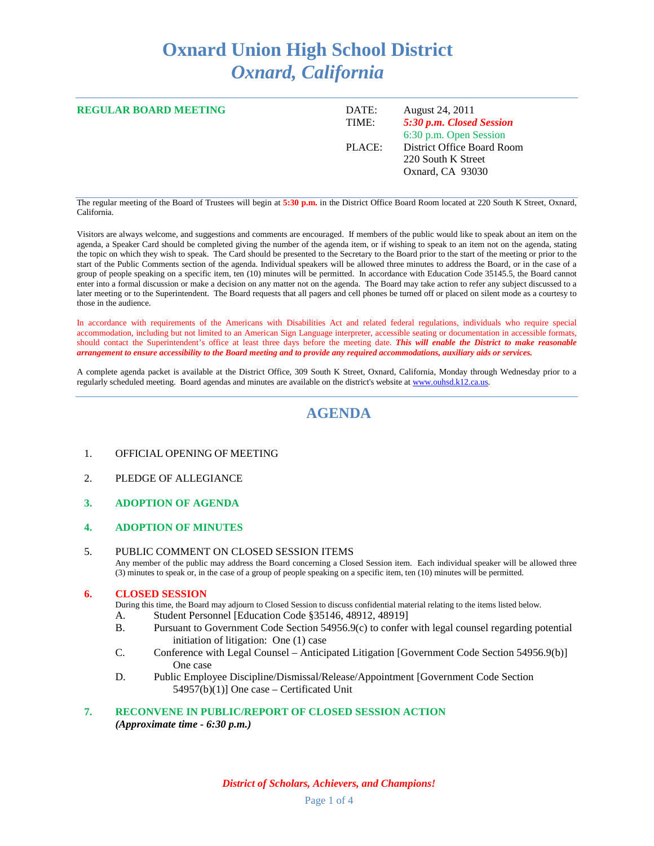# **Oxnard Union High School District** *Oxnard, California*

| <b>REGULAR BOARD MEETING</b> | DATE:<br>TIME: | August 24, 2011<br>5:30 p.m. Closed Session<br>6:30 p.m. Open Session |
|------------------------------|----------------|-----------------------------------------------------------------------|
|                              | PLACE:         | District Office Board Room<br>220 South K Street<br>Oxnard, CA 93030  |

The regular meeting of the Board of Trustees will begin at **5:30 p.m.** in the District Office Board Room located at 220 South K Street, Oxnard, California.

Visitors are always welcome, and suggestions and comments are encouraged. If members of the public would like to speak about an item on the agenda, a Speaker Card should be completed giving the number of the agenda item, or if wishing to speak to an item not on the agenda, stating the topic on which they wish to speak. The Card should be presented to the Secretary to the Board prior to the start of the meeting or prior to the start of the Public Comments section of the agenda. Individual speakers will be allowed three minutes to address the Board, or in the case of a group of people speaking on a specific item, ten (10) minutes will be permitted. In accordance with Education Code 35145.5, the Board cannot enter into a formal discussion or make a decision on any matter not on the agenda. The Board may take action to refer any subject discussed to a later meeting or to the Superintendent. The Board requests that all pagers and cell phones be turned off or placed on silent mode as a courtesy to those in the audience.

In accordance with requirements of the Americans with Disabilities Act and related federal regulations, individuals who require special accommodation, including but not limited to an American Sign Language interpreter, accessible seating or documentation in accessible formats, should contact the Superintendent's office at least three days before the meeting date. *This will enable the District to make reasonable arrangement to ensure accessibility to the Board meeting and to provide any required accommodations, auxiliary aids or services.*

A complete agenda packet is available at the District Office, 309 South K Street, Oxnard, California, Monday through Wednesday prior to a regularly scheduled meeting. Board agendas and minutes are available on the district's website a[t www.ouhsd.k12.ca.us.](http://www.ouhsd.k12.ca.us/)

### **AGENDA**

- 1. OFFICIAL OPENING OF MEETING
- 2. PLEDGE OF ALLEGIANCE
- **3. ADOPTION OF AGENDA**

#### **4. ADOPTION OF MINUTES**

#### 5. PUBLIC COMMENT ON CLOSED SESSION ITEMS

Any member of the public may address the Board concerning a Closed Session item. Each individual speaker will be allowed three (3) minutes to speak or, in the case of a group of people speaking on a specific item, ten (10) minutes will be permitted.

#### **6. CLOSED SESSION**

- During this time, the Board may adjourn to Closed Session to discuss confidential material relating to the items listed below.
- A. Student Personnel [Education Code §35146, 48912, 48919]
- B. Pursuant to Government Code Section 54956.9(c) to confer with legal counsel regarding potential initiation of litigation: One (1) case
- C. Conference with Legal Counsel Anticipated Litigation [Government Code Section 54956.9(b)] One case
- D. Public Employee Discipline/Dismissal/Release/Appointment [Government Code Section 54957(b)(1)] One case – Certificated Unit

#### **7. RECONVENE IN PUBLIC/REPORT OF CLOSED SESSION ACTION** *(Approximate time - 6:30 p.m.)*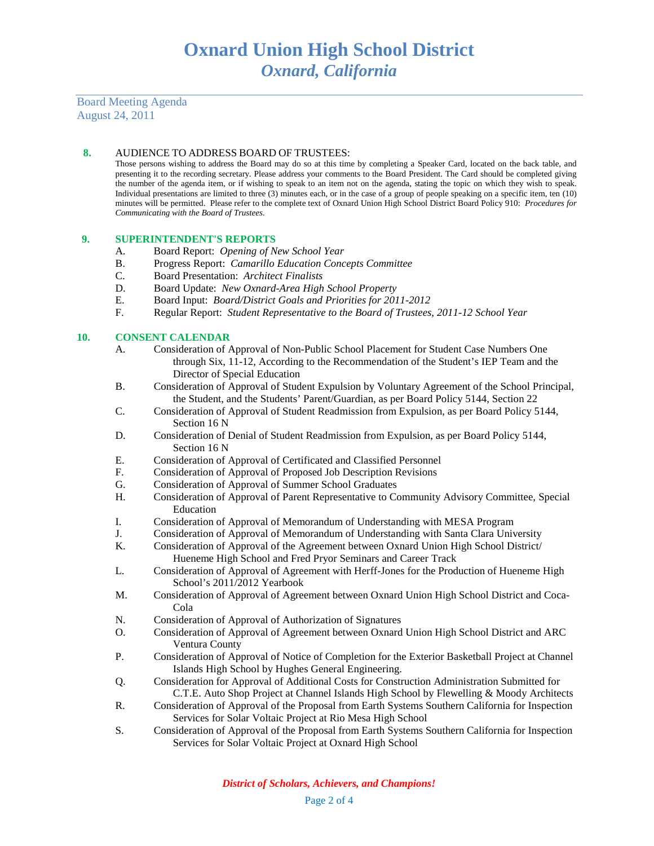Board Meeting Agenda August 24, 2011

#### **8.** AUDIENCE TO ADDRESS BOARD OF TRUSTEES:

Those persons wishing to address the Board may do so at this time by completing a Speaker Card, located on the back table, and presenting it to the recording secretary. Please address your comments to the Board President. The Card should be completed giving the number of the agenda item, or if wishing to speak to an item not on the agenda, stating the topic on which they wish to speak. Individual presentations are limited to three (3) minutes each, or in the case of a group of people speaking on a specific item, ten (10) minutes will be permitted. Please refer to the complete text of Oxnard Union High School District Board Policy 910: *Procedures for Communicating with the Board of Trustees*.

#### **9. SUPERINTENDENT'S REPORTS**

- A. Board Report: *Opening of New School Year*
- B. Progress Report: *Camarillo Education Concepts Committee*
- C. Board Presentation: *Architect Finalists*
- D. Board Update: *New Oxnard-Area High School Property*
- E. Board Input: *Board/District Goals and Priorities for 2011-2012*
- F. Regular Report: *Student Representative to the Board of Trustees, 2011-12 School Year*

#### **10. CONSENT CALENDAR**

- A. Consideration of Approval of Non-Public School Placement for Student Case Numbers One through Six, 11-12, According to the Recommendation of the Student's IEP Team and the Director of Special Education
- B. Consideration of Approval of Student Expulsion by Voluntary Agreement of the School Principal, the Student, and the Students' Parent/Guardian, as per Board Policy 5144, Section 22
- C. Consideration of Approval of Student Readmission from Expulsion, as per Board Policy 5144, Section 16 N
- D. Consideration of Denial of Student Readmission from Expulsion, as per Board Policy 5144, Section 16 N
- E. Consideration of Approval of Certificated and Classified Personnel
- F. Consideration of Approval of Proposed Job Description Revisions
- G. Consideration of Approval of Summer School Graduates
- H. Consideration of Approval of Parent Representative to Community Advisory Committee, Special Education
- I. Consideration of Approval of Memorandum of Understanding with MESA Program
- J. Consideration of Approval of Memorandum of Understanding with Santa Clara University<br>K. Consideration of Approval of the Agreement between Oxnard Union High School District/
- K. Consideration of Approval of the Agreement between Oxnard Union High School District/ Hueneme High School and Fred Pryor Seminars and Career Track
- L. Consideration of Approval of Agreement with Herff-Jones for the Production of Hueneme High School's 2011/2012 Yearbook
- M. Consideration of Approval of Agreement between Oxnard Union High School District and Coca-Cola
- N. Consideration of Approval of Authorization of Signatures
- O. Consideration of Approval of Agreement between Oxnard Union High School District and ARC Ventura County
- P. Consideration of Approval of Notice of Completion for the Exterior Basketball Project at Channel Islands High School by Hughes General Engineering.
- Q. Consideration for Approval of Additional Costs for Construction Administration Submitted for C.T.E. Auto Shop Project at Channel Islands High School by Flewelling & Moody Architects
- R. Consideration of Approval of the Proposal from Earth Systems Southern California for Inspection Services for Solar Voltaic Project at Rio Mesa High School
- S. Consideration of Approval of the Proposal from Earth Systems Southern California for Inspection Services for Solar Voltaic Project at Oxnard High School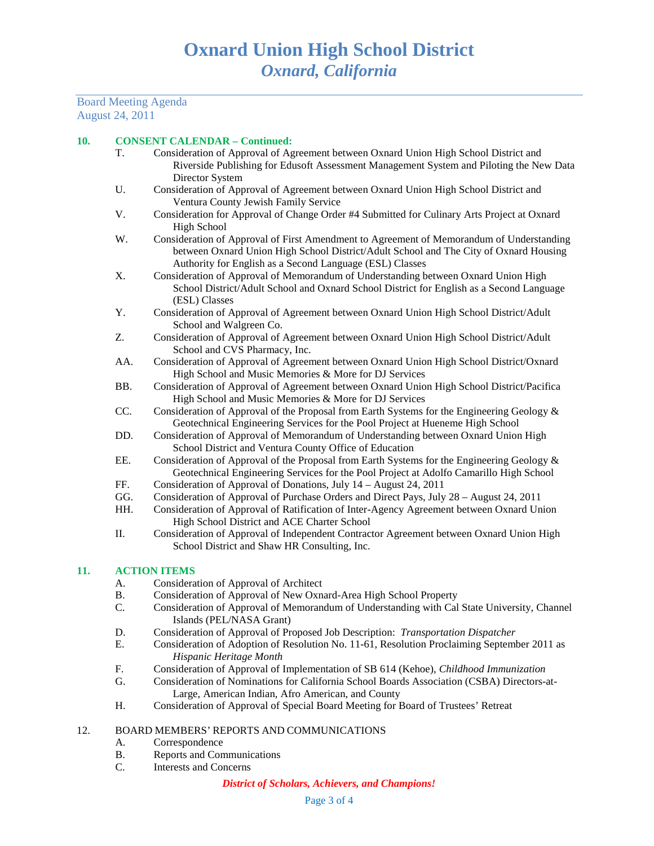Board Meeting Agenda August 24, 2011

#### **10. CONSENT CALENDAR – Continued:**

- T. Consideration of Approval of Agreement between Oxnard Union High School District and Riverside Publishing for Edusoft Assessment Management System and Piloting the New Data Director System
- U. Consideration of Approval of Agreement between Oxnard Union High School District and Ventura County Jewish Family Service
- V. Consideration for Approval of Change Order #4 Submitted for Culinary Arts Project at Oxnard High School
- W. Consideration of Approval of First Amendment to Agreement of Memorandum of Understanding between Oxnard Union High School District/Adult School and The City of Oxnard Housing Authority for English as a Second Language (ESL) Classes
- X. Consideration of Approval of Memorandum of Understanding between Oxnard Union High School District/Adult School and Oxnard School District for English as a Second Language (ESL) Classes
- Y. Consideration of Approval of Agreement between Oxnard Union High School District/Adult School and Walgreen Co.
- Z. Consideration of Approval of Agreement between Oxnard Union High School District/Adult School and CVS Pharmacy, Inc.
- AA. Consideration of Approval of Agreement between Oxnard Union High School District/Oxnard High School and Music Memories & More for DJ Services
- BB. Consideration of Approval of Agreement between Oxnard Union High School District/Pacifica High School and Music Memories & More for DJ Services
- CC. Consideration of Approval of the Proposal from Earth Systems for the Engineering Geology  $\&$ Geotechnical Engineering Services for the Pool Project at Hueneme High School
- DD. Consideration of Approval of Memorandum of Understanding between Oxnard Union High School District and Ventura County Office of Education
- EE. Consideration of Approval of the Proposal from Earth Systems for the Engineering Geology & Geotechnical Engineering Services for the Pool Project at Adolfo Camarillo High School
- FF. Consideration of Approval of Donations, July 14 August 24, 2011
- GG. Consideration of Approval of Purchase Orders and Direct Pays, July 28 August 24, 2011
- HH. Consideration of Approval of Ratification of Inter-Agency Agreement between Oxnard Union High School District and ACE Charter School
- II. Consideration of Approval of Independent Contractor Agreement between Oxnard Union High School District and Shaw HR Consulting, Inc.

#### **11. ACTION ITEMS**

- A. Consideration of Approval of Architect
- B. Consideration of Approval of New Oxnard-Area High School Property
- C. Consideration of Approval of Memorandum of Understanding with Cal State University, Channel Islands (PEL/NASA Grant)
- D. Consideration of Approval of Proposed Job Description: *Transportation Dispatcher*
- E. Consideration of Adoption of Resolution No. 11-61, Resolution Proclaiming September 2011 as *Hispanic Heritage Month*
- F. Consideration of Approval of Implementation of SB 614 (Kehoe), *Childhood Immunization*
- G. Consideration of Nominations for California School Boards Association (CSBA) Directors-at-Large, American Indian, Afro American, and County
- H. Consideration of Approval of Special Board Meeting for Board of Trustees' Retreat

#### 12. BOARD MEMBERS' REPORTS AND COMMUNICATIONS

- A. Correspondence
- B. Reports and Communications
- C. Interests and Concerns

#### *District of Scholars, Achievers, and Champions!*